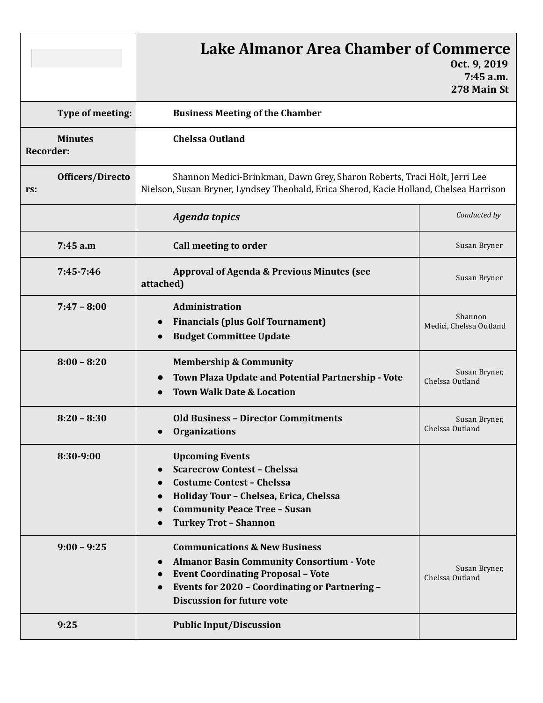|                                    | <b>Lake Almanor Area Chamber of Commerce</b><br>Oct. 9, 2019<br>7:45 a.m.<br>278 Main St                                                                                                                                                                          |                                    |
|------------------------------------|-------------------------------------------------------------------------------------------------------------------------------------------------------------------------------------------------------------------------------------------------------------------|------------------------------------|
| Type of meeting:                   | <b>Business Meeting of the Chamber</b>                                                                                                                                                                                                                            |                                    |
| <b>Minutes</b><br><b>Recorder:</b> | <b>Chelssa Outland</b>                                                                                                                                                                                                                                            |                                    |
| Officers/Directo<br>rs:            | Shannon Medici-Brinkman, Dawn Grey, Sharon Roberts, Traci Holt, Jerri Lee<br>Nielson, Susan Bryner, Lyndsey Theobald, Erica Sherod, Kacie Holland, Chelsea Harrison                                                                                               |                                    |
|                                    | <b>Agenda topics</b>                                                                                                                                                                                                                                              | Conducted by                       |
| 7:45 a.m                           | Call meeting to order                                                                                                                                                                                                                                             | Susan Bryner                       |
| $7:45 - 7:46$                      | <b>Approval of Agenda &amp; Previous Minutes (see</b><br>attached)                                                                                                                                                                                                | Susan Bryner                       |
| $7:47 - 8:00$                      | Administration<br><b>Financials (plus Golf Tournament)</b><br><b>Budget Committee Update</b>                                                                                                                                                                      | Shannon<br>Medici, Chelssa Outland |
| $8:00 - 8:20$                      | <b>Membership &amp; Community</b><br>Town Plaza Update and Potential Partnership - Vote<br><b>Town Walk Date &amp; Location</b>                                                                                                                                   | Susan Bryner,<br>Chelssa Outland   |
| $8:20 - 8:30$                      | <b>Old Business - Director Commitments</b><br><b>Organizations</b>                                                                                                                                                                                                | Susan Bryner,<br>Chelssa Outland   |
| 8:30-9:00                          | <b>Upcoming Events</b><br><b>Scarecrow Contest - Chelssa</b><br><b>Costume Contest - Chelssa</b><br>Holiday Tour - Chelsea, Erica, Chelssa<br>$\bullet$<br><b>Community Peace Tree - Susan</b><br>$\bullet$<br><b>Turkey Trot - Shannon</b>                       |                                    |
| $9:00 - 9:25$                      | <b>Communications &amp; New Business</b><br><b>Almanor Basin Community Consortium - Vote</b><br>$\bullet$<br><b>Event Coordinating Proposal - Vote</b><br>$\bullet$<br><b>Events for 2020 - Coordinating or Partnering -</b><br><b>Discussion for future vote</b> | Susan Bryner,<br>Chelssa Outland   |
| 9:25                               | <b>Public Input/Discussion</b>                                                                                                                                                                                                                                    |                                    |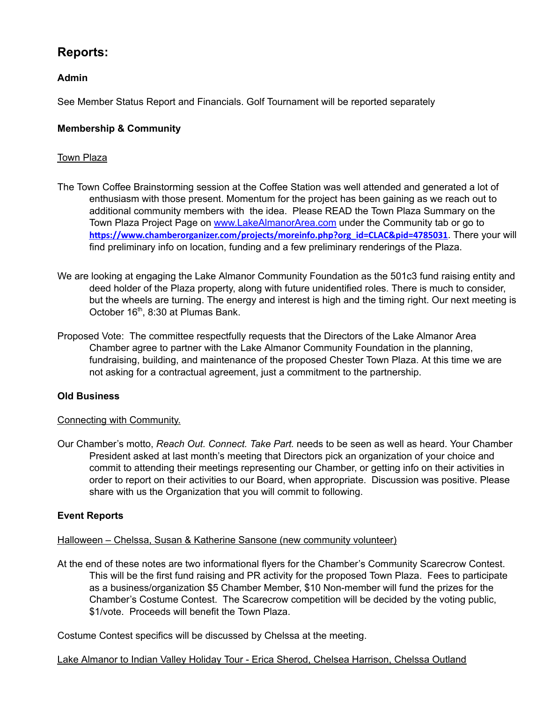# **Reports:**

## **Admin**

See Member Status Report and Financials. Golf Tournament will be reported separately

## **Membership & Community**

## Town Plaza

- The Town Coffee Brainstorming session at the Coffee Station was well attended and generated a lot of enthusiasm with those present. Momentum for the project has been gaining as we reach out to additional community members with the idea. Please READ the Town Plaza Summary on the Town Plaza Project Page on [www.LakeAlmanorArea.com](http://www.lakealmanorarea.com/) under the Community tab or go to https://www.chamberorganizer.com/projects/moreinfo.php?org\_id=CLAC&pid=4785031. There your will find preliminary info on location, funding and a few preliminary renderings of the Plaza.
- We are looking at engaging the Lake Almanor Community Foundation as the 501c3 fund raising entity and deed holder of the Plaza property, along with future unidentified roles. There is much to consider, but the wheels are turning. The energy and interest is high and the timing right. Our next meeting is October 16<sup>th</sup>, 8:30 at Plumas Bank.
- Proposed Vote: The committee respectfully requests that the Directors of the Lake Almanor Area Chamber agree to partner with the Lake Almanor Community Foundation in the planning, fundraising, building, and maintenance of the proposed Chester Town Plaza. At this time we are not asking for a contractual agreement, just a commitment to the partnership.

## **Old Business**

### Connecting with Community.

Our Chamber's motto, *Reach Out. Connect. Take Part.* needs to be seen as well as heard. Your Chamber President asked at last month's meeting that Directors pick an organization of your choice and commit to attending their meetings representing our Chamber, or getting info on their activities in order to report on their activities to our Board, when appropriate. Discussion was positive. Please share with us the Organization that you will commit to following.

## **Event Reports**

Halloween – Chelssa, Susan & Katherine Sansone (new community volunteer)

At the end of these notes are two informational flyers for the Chamber's Community Scarecrow Contest. This will be the first fund raising and PR activity for the proposed Town Plaza. Fees to participate as a business/organization \$5 Chamber Member, \$10 Non-member will fund the prizes for the Chamber's Costume Contest. The Scarecrow competition will be decided by the voting public, \$1/vote. Proceeds will benefit the Town Plaza.

Costume Contest specifics will be discussed by Chelssa at the meeting.

### Lake Almanor to Indian Valley Holiday Tour - Erica Sherod, Chelsea Harrison, Chelssa Outland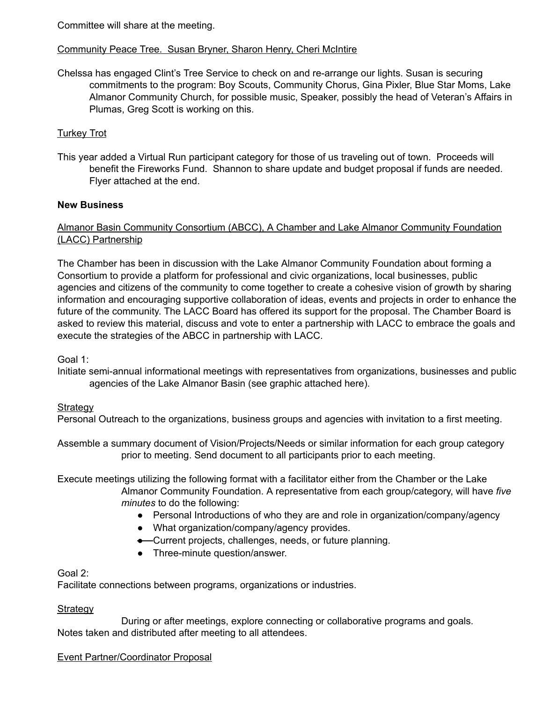Committee will share at the meeting.

## Community Peace Tree. Susan Bryner, Sharon Henry, Cheri McIntire

Chelssa has engaged Clint's Tree Service to check on and re-arrange our lights. Susan is securing commitments to the program: Boy Scouts, Community Chorus, Gina Pixler, Blue Star Moms, Lake Almanor Community Church, for possible music, Speaker, possibly the head of Veteran's Affairs in Plumas, Greg Scott is working on this.

## Turkey Trot

This year added a Virtual Run participant category for those of us traveling out of town. Proceeds will benefit the Fireworks Fund. Shannon to share update and budget proposal if funds are needed. Flyer attached at the end.

## **New Business**

## Almanor Basin Community Consortium (ABCC), A Chamber and Lake Almanor Community Foundation (LACC) Partnership

The Chamber has been in discussion with the Lake Almanor Community Foundation about forming a Consortium to provide a platform for professional and civic organizations, local businesses, public agencies and citizens of the community to come together to create a cohesive vision of growth by sharing information and encouraging supportive collaboration of ideas, events and projects in order to enhance the future of the community. The LACC Board has offered its support for the proposal. The Chamber Board is asked to review this material, discuss and vote to enter a partnership with LACC to embrace the goals and execute the strategies of the ABCC in partnership with LACC.

Goal 1:

Initiate semi-annual informational meetings with representatives from organizations, businesses and public agencies of the Lake Almanor Basin (see graphic attached here).

### **Strategy**

Personal Outreach to the organizations, business groups and agencies with invitation to a first meeting.

Assemble a summary document of Vision/Projects/Needs or similar information for each group category prior to meeting. Send document to all participants prior to each meeting.

Execute meetings utilizing the following format with a facilitator either from the Chamber or the Lake Almanor Community Foundation. A representative from each group/category, will have *five minutes* to do the following:

- Personal Introductions of who they are and role in organization/company/agency
- What organization/company/agency provides.
- Current projects, challenges, needs, or future planning.
- Three-minute question/answer.

### Goal 2:

Facilitate connections between programs, organizations or industries.

### **Strategy**

During or after meetings, explore connecting or collaborative programs and goals. Notes taken and distributed after meeting to all attendees.

### Event Partner/Coordinator Proposal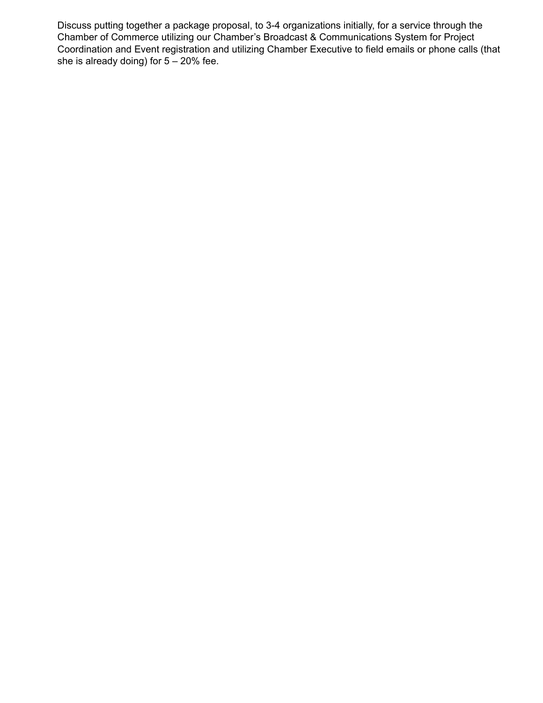Discuss putting together a package proposal, to 3-4 organizations initially, for a service through the Chamber of Commerce utilizing our Chamber's Broadcast & Communications System for Project Coordination and Event registration and utilizing Chamber Executive to field emails or phone calls (that she is already doing) for  $5 - 20\%$  fee.